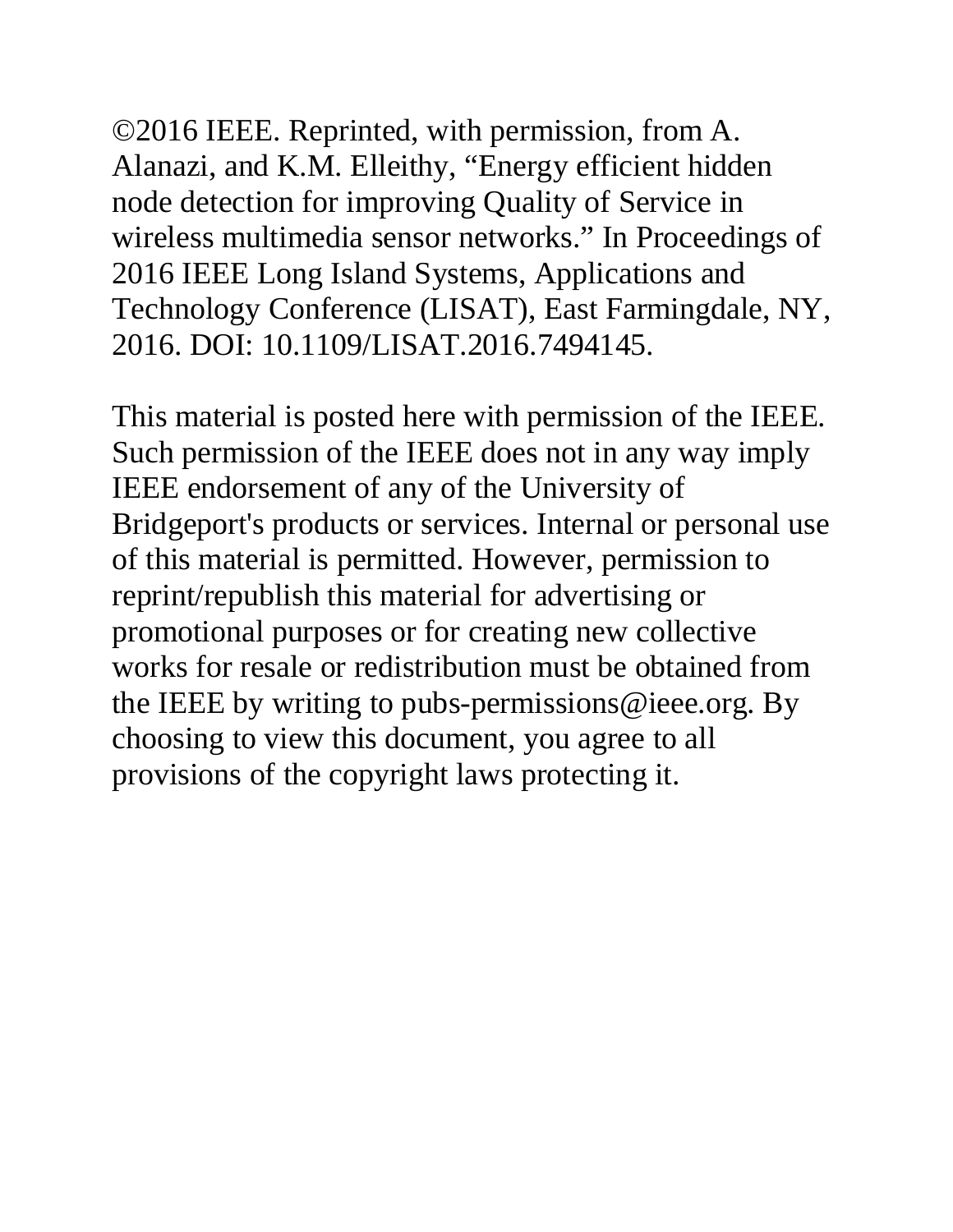©2016 IEEE. Reprinted, with permission, from A. Alanazi, and K.M. Elleithy, "Energy efficient hidden node detection for improving Quality of Service in wireless multimedia sensor networks." In Proceedings of 2016 IEEE Long Island Systems, Applications and Technology Conference (LISAT), East Farmingdale, NY, 2016. DOI: 10.1109/LISAT.2016.7494145.

This material is posted here with permission of the IEEE. Such permission of the IEEE does not in any way imply IEEE endorsement of any of the University of Bridgeport's products or services. Internal or personal use of this material is permitted. However, permission to reprint/republish this material for advertising or promotional purposes or for creating new collective works for resale or redistribution must be obtained from the IEEE by writing to pubs-permissions @ieee.org. By choosing to view this document, you agree to all provisions of the copyright laws protecting it.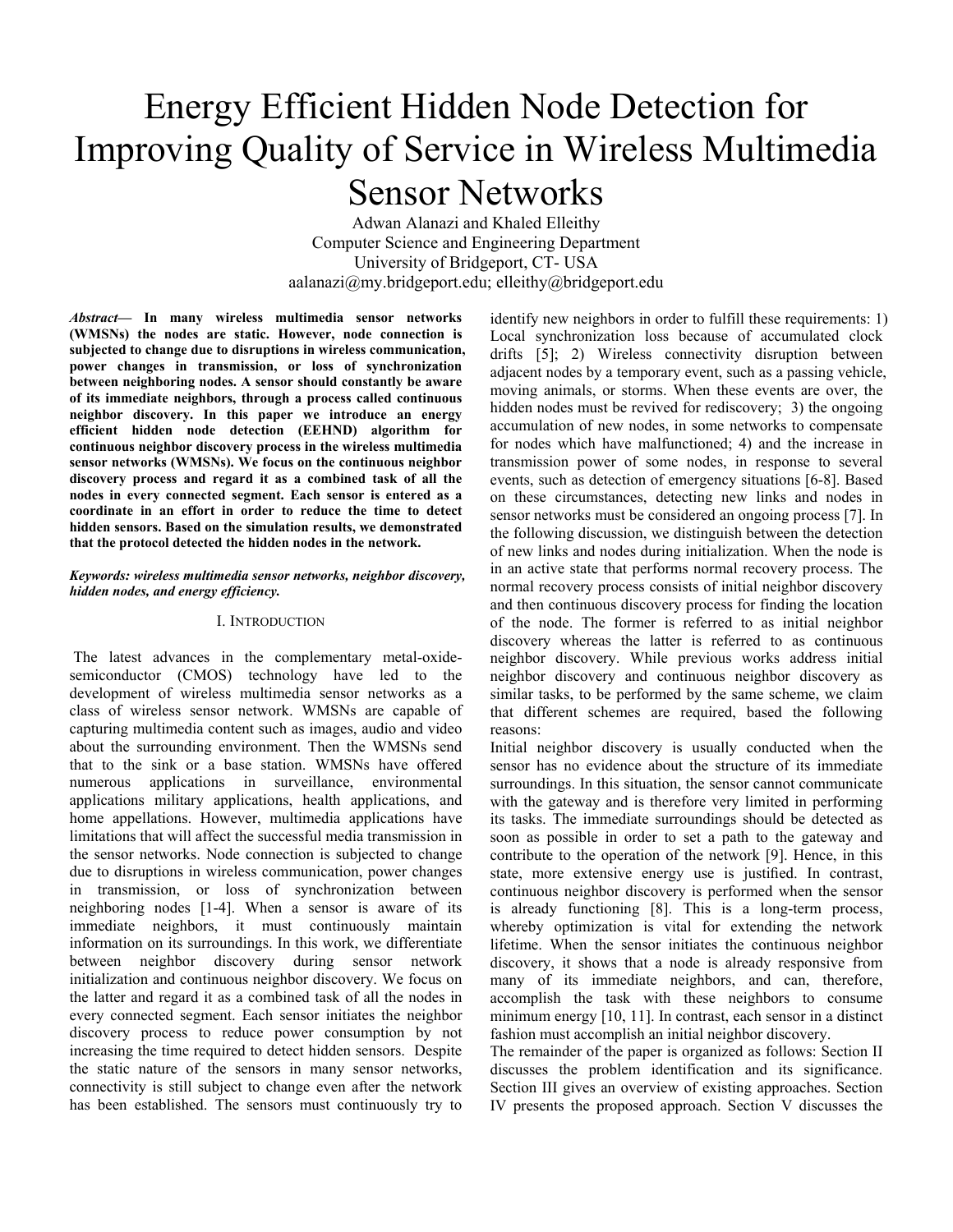# Energy Efficient Hidden Node Detection for Improving Quality of Service in Wireless Multimedia Sensor Networks

Adwan Alanazi and Khaled Elleithy Computer Science and Engineering Department University of Bridgeport, CT- USA aalanazi@my.bridgeport.edu; elleithy@bridgeport.edu

*Abstract***— In many wireless multimedia sensor networks (WMSNs) the nodes are static. However, node connection is subjected to change due to disruptions in wireless communication, power changes in transmission, or loss of synchronization between neighboring nodes. A sensor should constantly be aware of its immediate neighbors, through a process called continuous neighbor discovery. In this paper we introduce an energy efficient hidden node detection (EEHND) algorithm for continuous neighbor discovery process in the wireless multimedia sensor networks (WMSNs). We focus on the continuous neighbor discovery process and regard it as a combined task of all the nodes in every connected segment. Each sensor is entered as a coordinate in an effort in order to reduce the time to detect hidden sensors. Based on the simulation results, we demonstrated that the protocol detected the hidden nodes in the network.** 

## *Keywords: wireless multimedia sensor networks, neighbor discovery, hidden nodes, and energy efficiency.*

## I. INTRODUCTION

 The latest advances in the complementary metal-oxidesemiconductor (CMOS) technology have led to the development of wireless multimedia sensor networks as a class of wireless sensor network. WMSNs are capable of capturing multimedia content such as images, audio and video about the surrounding environment. Then the WMSNs send that to the sink or a base station. WMSNs have offered numerous applications in surveillance, environmental applications military applications, health applications, and home appellations. However, multimedia applications have limitations that will affect the successful media transmission in the sensor networks. Node connection is subjected to change due to disruptions in wireless communication, power changes in transmission, or loss of synchronization between neighboring nodes [1-4]. When a sensor is aware of its immediate neighbors, it must continuously maintain information on its surroundings. In this work, we differentiate between neighbor discovery during sensor network initialization and continuous neighbor discovery. We focus on the latter and regard it as a combined task of all the nodes in every connected segment. Each sensor initiates the neighbor discovery process to reduce power consumption by not increasing the time required to detect hidden sensors. Despite the static nature of the sensors in many sensor networks, connectivity is still subject to change even after the network has been established. The sensors must continuously try to

identify new neighbors in order to fulfill these requirements: 1) Local synchronization loss because of accumulated clock drifts [5]; 2) Wireless connectivity disruption between adjacent nodes by a temporary event, such as a passing vehicle, moving animals, or storms. When these events are over, the hidden nodes must be revived for rediscovery; 3) the ongoing accumulation of new nodes, in some networks to compensate for nodes which have malfunctioned; 4) and the increase in transmission power of some nodes, in response to several events, such as detection of emergency situations [6-8]. Based on these circumstances, detecting new links and nodes in sensor networks must be considered an ongoing process [7]. In the following discussion, we distinguish between the detection of new links and nodes during initialization. When the node is in an active state that performs normal recovery process. The normal recovery process consists of initial neighbor discovery and then continuous discovery process for finding the location of the node. The former is referred to as initial neighbor discovery whereas the latter is referred to as continuous neighbor discovery. While previous works address initial neighbor discovery and continuous neighbor discovery as similar tasks, to be performed by the same scheme, we claim that different schemes are required, based the following reasons:

Initial neighbor discovery is usually conducted when the sensor has no evidence about the structure of its immediate surroundings. In this situation, the sensor cannot communicate with the gateway and is therefore very limited in performing its tasks. The immediate surroundings should be detected as soon as possible in order to set a path to the gateway and contribute to the operation of the network [9]. Hence, in this state, more extensive energy use is justified. In contrast, continuous neighbor discovery is performed when the sensor is already functioning [8]. This is a long-term process, whereby optimization is vital for extending the network lifetime. When the sensor initiates the continuous neighbor discovery, it shows that a node is already responsive from many of its immediate neighbors, and can, therefore, accomplish the task with these neighbors to consume minimum energy [10, 11]. In contrast, each sensor in a distinct fashion must accomplish an initial neighbor discovery.

The remainder of the paper is organized as follows: Section II discusses the problem identification and its significance. Section III gives an overview of existing approaches. Section IV presents the proposed approach. Section V discusses the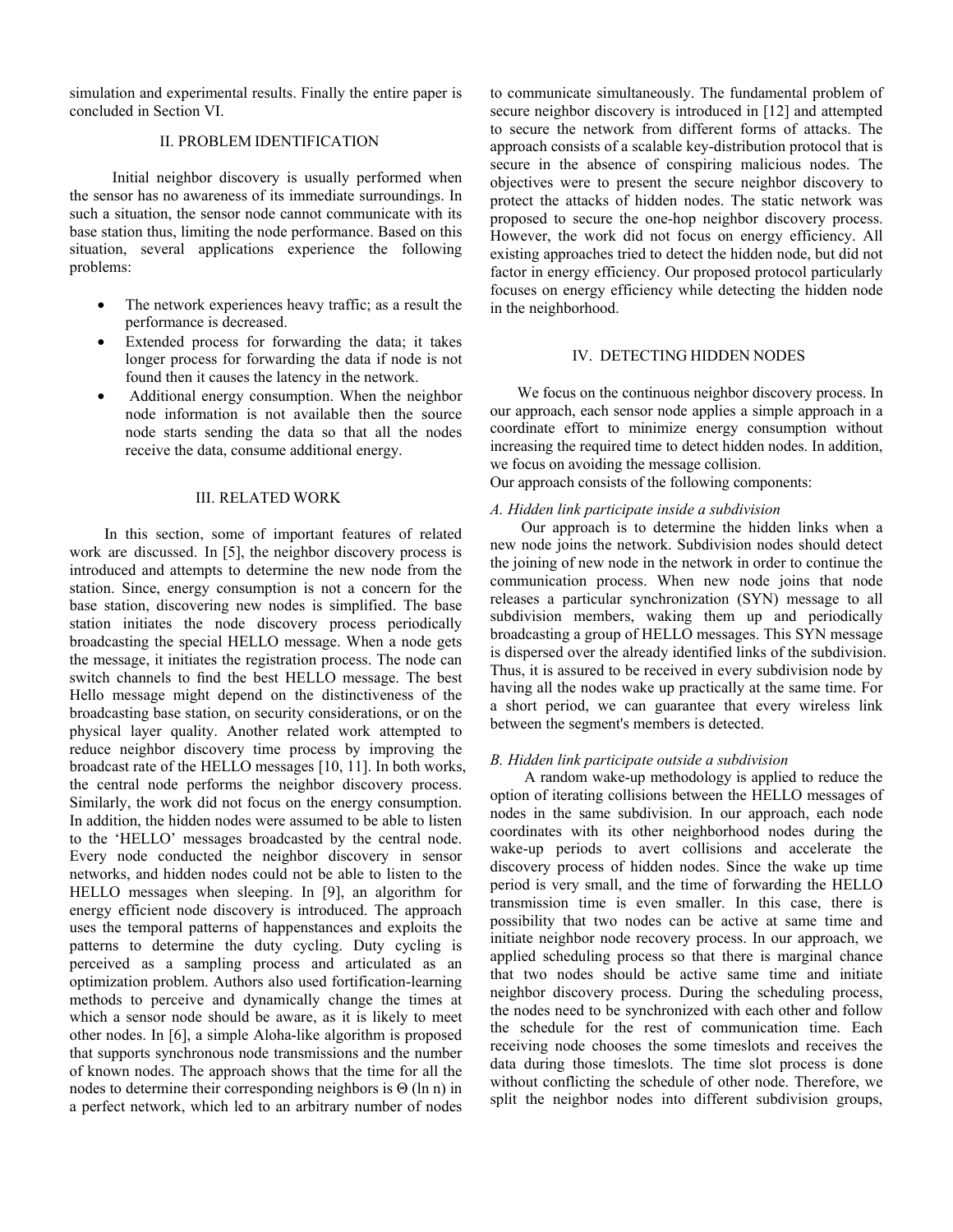simulation and experimental results. Finally the entire paper is concluded in Section VI.

## II. PROBLEM IDENTIFICATION

 Initial neighbor discovery is usually performed when the sensor has no awareness of its immediate surroundings. In such a situation, the sensor node cannot communicate with its base station thus, limiting the node performance. Based on this situation, several applications experience the following problems:

- The network experiences heavy traffic; as a result the performance is decreased.
- Extended process for forwarding the data; it takes longer process for forwarding the data if node is not found then it causes the latency in the network.
- Additional energy consumption. When the neighbor node information is not available then the source node starts sending the data so that all the nodes receive the data, consume additional energy.

## III. RELATED WORK

 In this section, some of important features of related work are discussed. In [5], the neighbor discovery process is introduced and attempts to determine the new node from the station. Since, energy consumption is not a concern for the base station, discovering new nodes is simplified. The base station initiates the node discovery process periodically broadcasting the special HELLO message. When a node gets the message, it initiates the registration process. The node can switch channels to find the best HELLO message. The best Hello message might depend on the distinctiveness of the broadcasting base station, on security considerations, or on the physical layer quality. Another related work attempted to reduce neighbor discovery time process by improving the broadcast rate of the HELLO messages [10, 11]. In both works, the central node performs the neighbor discovery process. Similarly, the work did not focus on the energy consumption. In addition, the hidden nodes were assumed to be able to listen to the 'HELLO' messages broadcasted by the central node. Every node conducted the neighbor discovery in sensor networks, and hidden nodes could not be able to listen to the HELLO messages when sleeping. In [9], an algorithm for energy efficient node discovery is introduced. The approach uses the temporal patterns of happenstances and exploits the patterns to determine the duty cycling. Duty cycling is perceived as a sampling process and articulated as an optimization problem. Authors also used fortification-learning methods to perceive and dynamically change the times at which a sensor node should be aware, as it is likely to meet other nodes. In [6], a simple Aloha-like algorithm is proposed that supports synchronous node transmissions and the number of known nodes. The approach shows that the time for all the nodes to determine their corresponding neighbors is Θ (ln n) in a perfect network, which led to an arbitrary number of nodes

to communicate simultaneously. The fundamental problem of secure neighbor discovery is introduced in [12] and attempted to secure the network from different forms of attacks. The approach consists of a scalable key-distribution protocol that is secure in the absence of conspiring malicious nodes. The objectives were to present the secure neighbor discovery to protect the attacks of hidden nodes. The static network was proposed to secure the one-hop neighbor discovery process. However, the work did not focus on energy efficiency. All existing approaches tried to detect the hidden node, but did not factor in energy efficiency. Our proposed protocol particularly focuses on energy efficiency while detecting the hidden node in the neighborhood.

#### IV. DETECTING HIDDEN NODES

 We focus on the continuous neighbor discovery process. In our approach, each sensor node applies a simple approach in a coordinate effort to minimize energy consumption without increasing the required time to detect hidden nodes. In addition, we focus on avoiding the message collision.

Our approach consists of the following components:

#### *A. Hidden link participate inside a subdivision*

 Our approach is to determine the hidden links when a new node joins the network. Subdivision nodes should detect the joining of new node in the network in order to continue the communication process. When new node joins that node releases a particular synchronization (SYN) message to all subdivision members, waking them up and periodically broadcasting a group of HELLO messages. This SYN message is dispersed over the already identified links of the subdivision. Thus, it is assured to be received in every subdivision node by having all the nodes wake up practically at the same time. For a short period, we can guarantee that every wireless link between the segment's members is detected.

## *B. Hidden link participate outside a subdivision*

 A random wake-up methodology is applied to reduce the option of iterating collisions between the HELLO messages of nodes in the same subdivision. In our approach, each node coordinates with its other neighborhood nodes during the wake-up periods to avert collisions and accelerate the discovery process of hidden nodes. Since the wake up time period is very small, and the time of forwarding the HELLO transmission time is even smaller. In this case, there is possibility that two nodes can be active at same time and initiate neighbor node recovery process. In our approach, we applied scheduling process so that there is marginal chance that two nodes should be active same time and initiate neighbor discovery process. During the scheduling process, the nodes need to be synchronized with each other and follow the schedule for the rest of communication time. Each receiving node chooses the some timeslots and receives the data during those timeslots. The time slot process is done without conflicting the schedule of other node. Therefore, we split the neighbor nodes into different subdivision groups,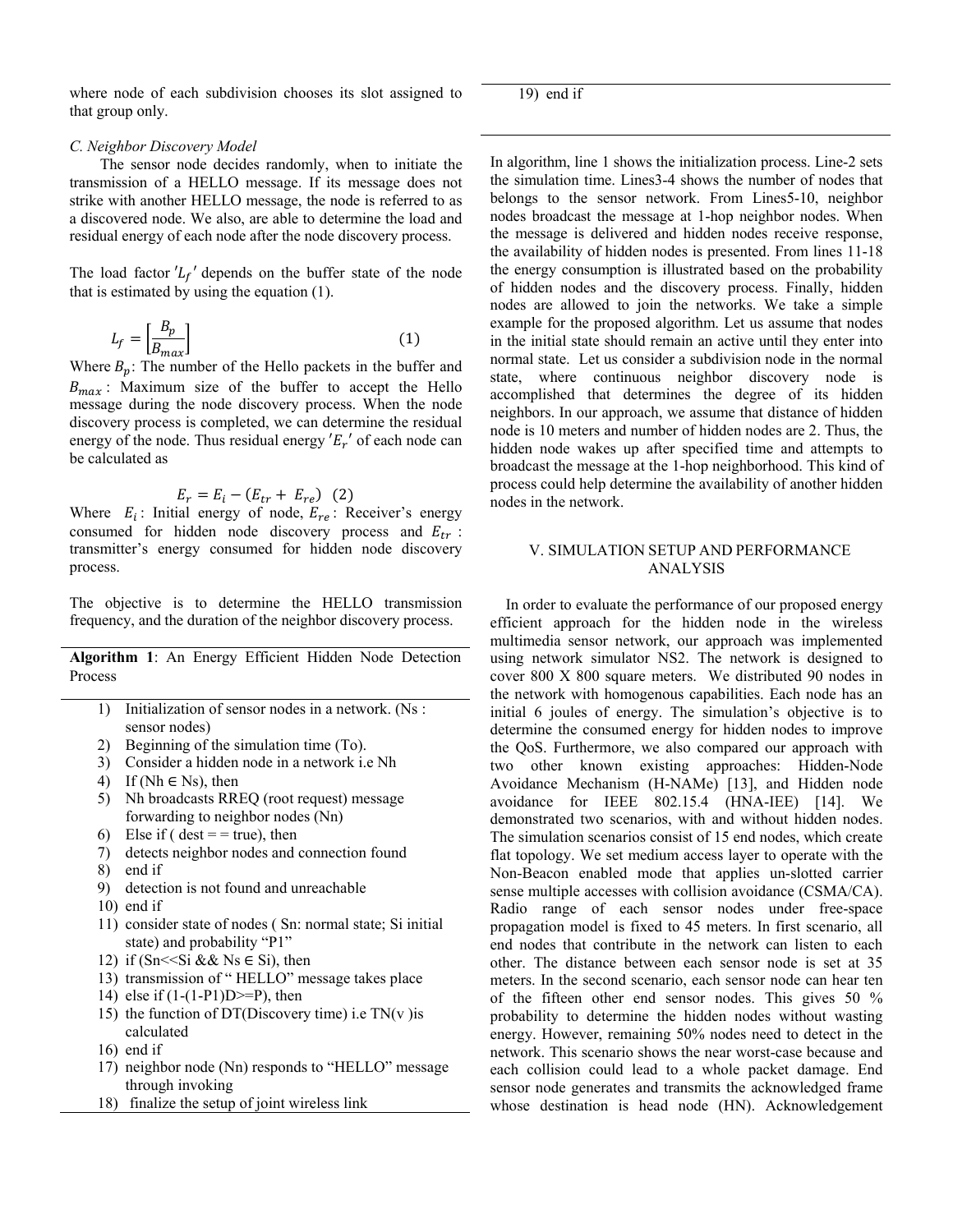where node of each subdivision chooses its slot assigned to that group only.

19) end if

#### *C. Neighbor Discovery Model*

 The sensor node decides randomly, when to initiate the transmission of a HELLO message. If its message does not strike with another HELLO message, the node is referred to as a discovered node. We also, are able to determine the load and residual energy of each node after the node discovery process.

The load factor  $'L_f'$  depends on the buffer state of the node that is estimated by using the equation (1).

$$
L_f = \left[\frac{B_p}{B_{max}}\right] \tag{1}
$$

Where  $B_p$ : The number of the Hello packets in the buffer and  $B_{max}$ : Maximum size of the buffer to accept the Hello message during the node discovery process. When the node discovery process is completed, we can determine the residual energy of the node. Thus residual energy  $'E_r'$  of each node can be calculated as

$$
E_r = E_i - (E_{tr} + E_{re}) \quad (2)
$$

Where  $E_i$ : Initial energy of node,  $E_{re}$ : Receiver's energy consumed for hidden node discovery process and  $E_{tr}$ : transmitter's energy consumed for hidden node discovery process.

The objective is to determine the HELLO transmission frequency, and the duration of the neighbor discovery process.

**Algorithm 1**: An Energy Efficient Hidden Node Detection Process

- 1) Initialization of sensor nodes in a network. (Ns : sensor nodes)
- 2) Beginning of the simulation time (To).
- 3) Consider a hidden node in a network i.e Nh
- 4) If ( $Nh \in Ns$ ), then
- 5) Nh broadcasts RREQ (root request) message forwarding to neighbor nodes (Nn)
- 6) Else if ( dest  $=$  = true), then
- 7) detects neighbor nodes and connection found
- 8) end if
- 9) detection is not found and unreachable
- 10) end if
- 11) consider state of nodes ( Sn: normal state; Si initial state) and probability "P1"
- 12) if  $(Sn \leq Si \&\& Ns \in Si)$ , then
- 13) transmission of " HELLO" message takes place
- 14) else if  $(1-(1-P1)D>=P)$ , then
- 15) the function of DT(Discovery time) i.e  $TN(v)$  is calculated
- 16) end if
- 17) neighbor node (Nn) responds to "HELLO" message through invoking
- 18) finalize the setup of joint wireless link

In algorithm, line 1 shows the initialization process. Line-2 sets the simulation time. Lines3-4 shows the number of nodes that belongs to the sensor network. From Lines5-10, neighbor nodes broadcast the message at 1-hop neighbor nodes. When the message is delivered and hidden nodes receive response, the availability of hidden nodes is presented. From lines 11-18 the energy consumption is illustrated based on the probability of hidden nodes and the discovery process. Finally, hidden nodes are allowed to join the networks. We take a simple example for the proposed algorithm. Let us assume that nodes in the initial state should remain an active until they enter into normal state. Let us consider a subdivision node in the normal state, where continuous neighbor discovery node is accomplished that determines the degree of its hidden neighbors. In our approach, we assume that distance of hidden node is 10 meters and number of hidden nodes are 2. Thus, the hidden node wakes up after specified time and attempts to broadcast the message at the 1-hop neighborhood. This kind of process could help determine the availability of another hidden nodes in the network.

#### V. SIMULATION SETUP AND PERFORMANCE ANALYSIS

 In order to evaluate the performance of our proposed energy efficient approach for the hidden node in the wireless multimedia sensor network, our approach was implemented using network simulator NS2. The network is designed to cover 800 X 800 square meters. We distributed 90 nodes in the network with homogenous capabilities. Each node has an initial 6 joules of energy. The simulation's objective is to determine the consumed energy for hidden nodes to improve the QoS. Furthermore, we also compared our approach with two other known existing approaches: Hidden-Node Avoidance Mechanism (H-NAMe) [13], and Hidden node avoidance for IEEE 802.15.4 (HNA-IEE) [14]. We demonstrated two scenarios, with and without hidden nodes. The simulation scenarios consist of 15 end nodes, which create flat topology. We set medium access layer to operate with the Non-Beacon enabled mode that applies un-slotted carrier sense multiple accesses with collision avoidance (CSMA/CA). Radio range of each sensor nodes under free-space propagation model is fixed to 45 meters. In first scenario, all end nodes that contribute in the network can listen to each other. The distance between each sensor node is set at 35 meters. In the second scenario, each sensor node can hear ten of the fifteen other end sensor nodes. This gives 50 % probability to determine the hidden nodes without wasting energy. However, remaining 50% nodes need to detect in the network. This scenario shows the near worst-case because and each collision could lead to a whole packet damage. End sensor node generates and transmits the acknowledged frame whose destination is head node (HN). Acknowledgement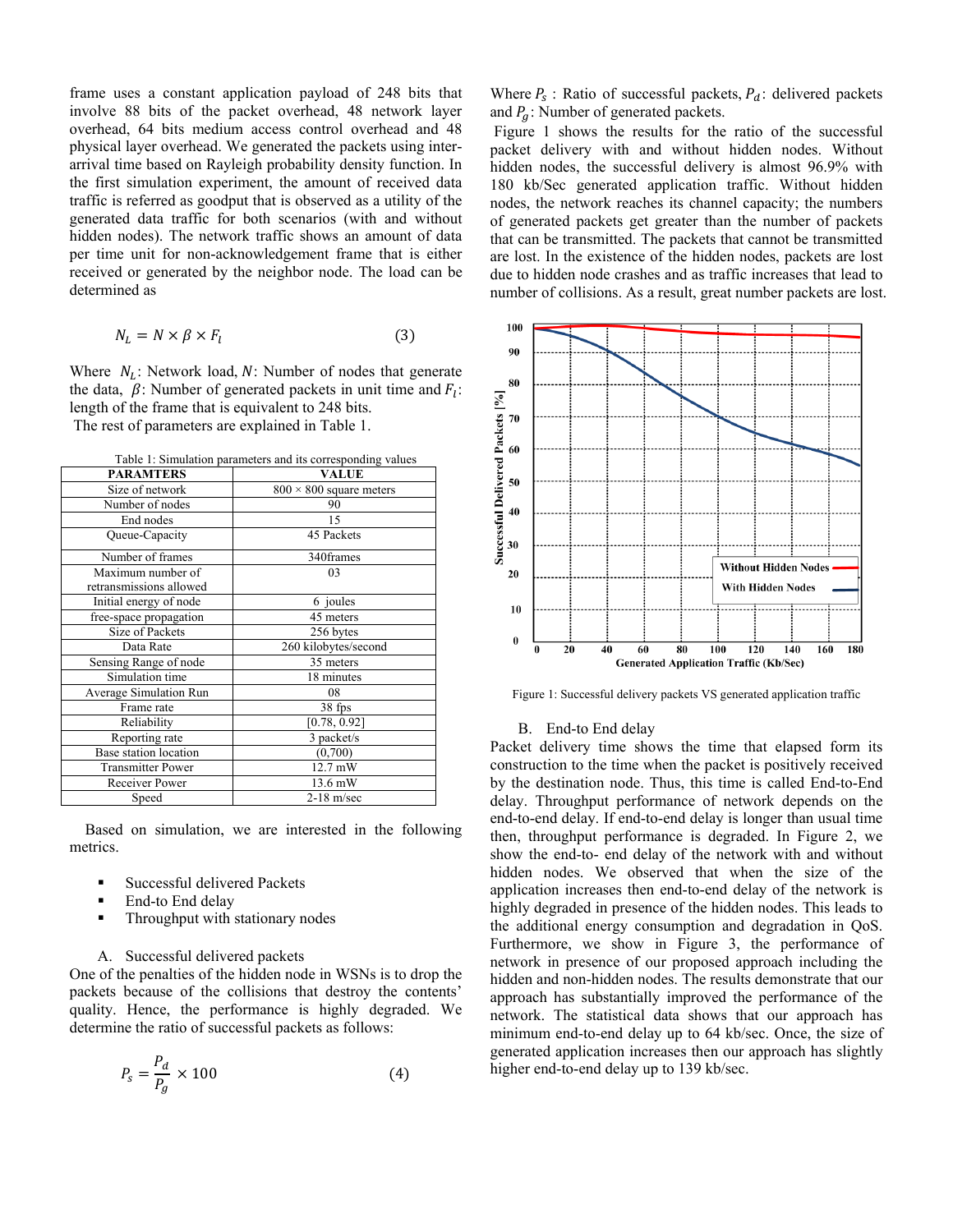frame uses a constant application payload of 248 bits that involve 88 bits of the packet overhead, 48 network layer overhead, 64 bits medium access control overhead and 48 physical layer overhead. We generated the packets using interarrival time based on Rayleigh probability density function. In the first simulation experiment, the amount of received data traffic is referred as goodput that is observed as a utility of the generated data traffic for both scenarios (with and without hidden nodes). The network traffic shows an amount of data per time unit for non-acknowledgement frame that is either received or generated by the neighbor node. The load can be determined as

$$
N_L = N \times \beta \times F_l \tag{3}
$$

Where  $N_L$ : Network load, N: Number of nodes that generate the data,  $\beta$ : Number of generated packets in unit time and  $F_i$ : length of the frame that is equivalent to 248 bits. The rest of parameters are explained in Table 1.

Table 1: Simulation parameters and its corresponding values

| <b>PARAMTERS</b>                             | <b>VALUE</b>                   |
|----------------------------------------------|--------------------------------|
| Size of network                              | $800 \times 800$ square meters |
| Number of nodes                              | 90                             |
| End nodes                                    | 15                             |
| Queue-Capacity                               | 45 Packets                     |
| Number of frames                             | 340frames                      |
| Maximum number of<br>retransmissions allowed | 03                             |
| Initial energy of node                       | 6 joules                       |
| free-space propagation                       | 45 meters                      |
| Size of Packets                              | 256 bytes                      |
| Data Rate                                    | 260 kilobytes/second           |
| Sensing Range of node                        | 35 meters                      |
| Simulation time                              | 18 minutes                     |
| Average Simulation Run                       | 08                             |
| Frame rate                                   | 38 fps                         |
| Reliability                                  | [0.78, 0.92]                   |
| Reporting rate                               | 3 packet/s                     |
| Base station location                        | (0,700)                        |
| <b>Transmitter Power</b>                     | 12.7 mW                        |
| Receiver Power                               | 13.6 mW                        |
| Speed                                        | $2-18$ m/sec                   |

 Based on simulation, we are interested in the following metrics.

- Successful delivered Packets
- End-to End delay
- Throughput with stationary nodes
- A. Successful delivered packets

One of the penalties of the hidden node in WSNs is to drop the packets because of the collisions that destroy the contents' quality. Hence, the performance is highly degraded. We determine the ratio of successful packets as follows:

$$
P_s = \frac{P_d}{P_g} \times 100\tag{4}
$$

Where  $P_s$ : Ratio of successful packets,  $P_d$ : delivered packets and  $P_a$ : Number of generated packets.

 Figure 1 shows the results for the ratio of the successful packet delivery with and without hidden nodes. Without hidden nodes, the successful delivery is almost 96.9% with 180 kb/Sec generated application traffic. Without hidden nodes, the network reaches its channel capacity; the numbers of generated packets get greater than the number of packets that can be transmitted. The packets that cannot be transmitted are lost. In the existence of the hidden nodes, packets are lost due to hidden node crashes and as traffic increases that lead to number of collisions. As a result, great number packets are lost.



Figure 1: Successful delivery packets VS generated application traffic

#### B. End-to End delay

Packet delivery time shows the time that elapsed form its construction to the time when the packet is positively received by the destination node. Thus, this time is called End-to-End delay. Throughput performance of network depends on the end-to-end delay. If end-to-end delay is longer than usual time then, throughput performance is degraded. In Figure 2, we show the end-to- end delay of the network with and without hidden nodes. We observed that when the size of the application increases then end-to-end delay of the network is highly degraded in presence of the hidden nodes. This leads to the additional energy consumption and degradation in QoS. Furthermore, we show in Figure 3, the performance of network in presence of our proposed approach including the hidden and non-hidden nodes. The results demonstrate that our approach has substantially improved the performance of the network. The statistical data shows that our approach has minimum end-to-end delay up to 64 kb/sec. Once, the size of generated application increases then our approach has slightly higher end-to-end delay up to 139 kb/sec.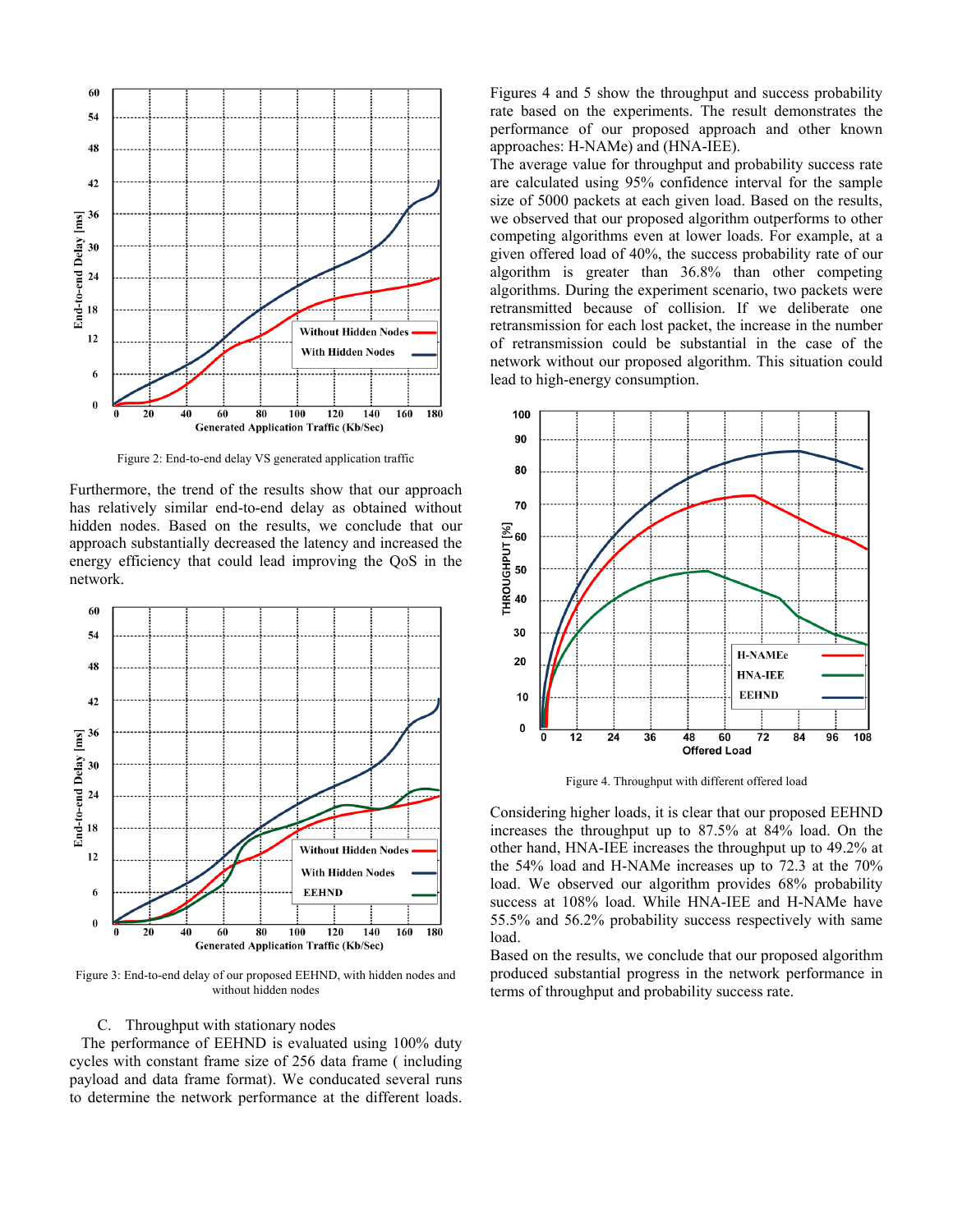

Figure 2: End-to-end delay VS generated application traffic

Furthermore, the trend of the results show that our approach has relatively similar end-to-end delay as obtained without hidden nodes. Based on the results, we conclude that our approach substantially decreased the latency and increased the energy efficiency that could lead improving the QoS in the network.



Figure 3: End-to-end delay of our proposed EEHND, with hidden nodes and without hidden nodes

#### C. Throughput with stationary nodes

 The performance of EEHND is evaluated using 100% duty cycles with constant frame size of 256 data frame ( including payload and data frame format). We conducated several runs to determine the network performance at the different loads.

Figures 4 and 5 show the throughput and success probability rate based on the experiments. The result demonstrates the performance of our proposed approach and other known approaches: H-NAMe) and (HNA-IEE).

The average value for throughput and probability success rate are calculated using 95% confidence interval for the sample size of 5000 packets at each given load. Based on the results, we observed that our proposed algorithm outperforms to other competing algorithms even at lower loads. For example, at a given offered load of 40%, the success probability rate of our algorithm is greater than 36.8% than other competing algorithms. During the experiment scenario, two packets were retransmitted because of collision. If we deliberate one retransmission for each lost packet, the increase in the number of retransmission could be substantial in the case of the network without our proposed algorithm. This situation could lead to high-energy consumption.



Figure 4. Throughput with different offered load

Considering higher loads, it is clear that our proposed EEHND increases the throughput up to 87.5% at 84% load. On the other hand, HNA-IEE increases the throughput up to 49.2% at the 54% load and H-NAMe increases up to 72.3 at the 70% load. We observed our algorithm provides 68% probability success at 108% load. While HNA-IEE and H-NAMe have 55.5% and 56.2% probability success respectively with same load.

Based on the results, we conclude that our proposed algorithm produced substantial progress in the network performance in terms of throughput and probability success rate.